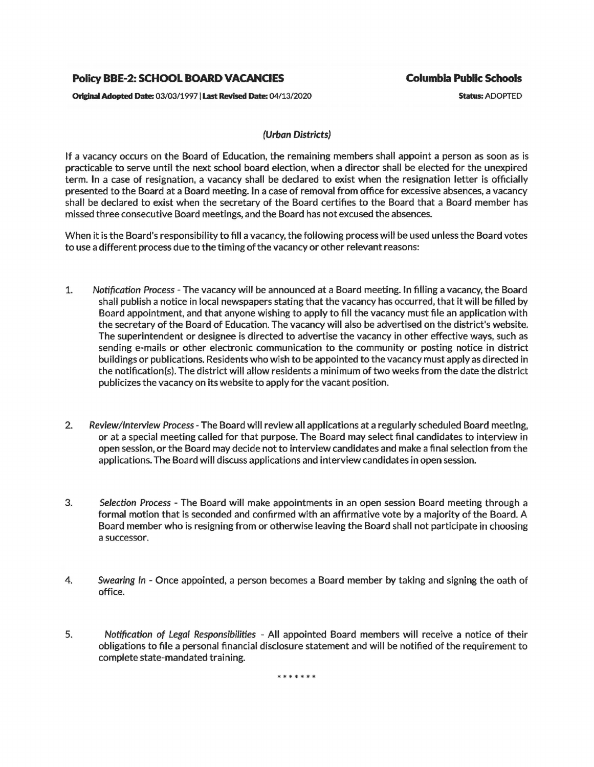## **Policy BBE-2: SCHOOL BOARD VACANCES**

**Orlglnal Adopted Date:** 03/03/1997 I **Last Revised** Date: 04/13/2020

**Columbia Public Schools** 

Status: ADOPTED

## **(Urban** Districts)

If a vacancy occurs on the Board of Education, the remaining members shall appoint a person as soon as is practicable to serve until the next school board election, when a director shall be elected for the unexpired term. In a case of resignation, a vacancy shall be declared to exist when the resignation letter is officially presented to the Board at a Board meeting. In a case of removal from office for excessive absences, a vacancy shall be declared to exist when the secretary of the Board certifies to the Board that a Board member has missed three consecutive Board meetings, and the Board has not excused the absences.

When it is the Board's responsibility to fill a vacancy, the following process will be used unless the Board votes to use a different process due to the timing of the vacancy or other relevant reasons:

- 1. Notification Process The vacancy will be announced at a Board meeting. In filling a vacancy, the Board shall publish a notice in local newspapers stating that the vacancy has occurred, that it will be filled by Board appointment, and that anyone wishing to apply to fill the vacancy must file an application with the secretary of the Board of Education. The vacancy will also be advertised on the district's website. The superintendent or designee is directed to advertise the vacancy in other effective ways, such as sending e-mails or other electronic communication to the community or posting notice in district buildings or publications. Residents who wish to be appointed to the vacancy must apply as directed in the notification(s). The district will allow residents a minimum of two weeks from the date the district publicizes the vacancy on its website to apply for the vacant position.
- 2. Review/Interview Process The Board will review all applications at a regularly scheduled Board meeting, or at a special meeting called for that purpose. The Board may select final candidates to interview in open session, or the Board may decide not to interview candidates and make a final selection from the applications. The Board will discuss applications and interview candidates in open session.
- 3. Selection Process The Board will make appointments in an open session Board meeting through a formal motion that is seconded and confirmed with an affirmative vote by a majority of the Board. A Board member who is resigning from or otherwise leaving the Board shall not participate in choosing a successor.
- 4. Swearing In Once appointed, a person becomes a Board member by taking and signing the oath of office.
- 5. Notification of Legal Responsibilities All appointed Board members will receive a notice of their obligations to file a personal financial disclosure statement and will be notified of the requirement to complete state-mandated training.

\*\*\*\*\*\*